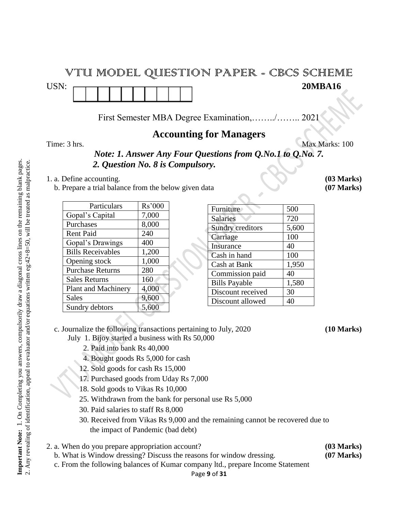# VTU MODEL QUESTION PAPER - CBCS SCHEME USN: 20MBA16

First Semester MBA Degree Examination,……../…….. 2021

## **Accounting for Managers**

Time: 3 hrs. Max Marks: 100

*Note: 1. Answer Any Four Questions from Q.No.1 to Q.No. 7. 2. Question No. 8 is Compulsory.*

- 1. a. Define accounting. **(03 Marks)**
	- b. Prepare a trial balance from the below given data **(07 Marks)**

| Particulars              | Rs'000 |
|--------------------------|--------|
| Gopal's Capital          | 7,000  |
| Purchases                | 8,000  |
| <b>Rent Paid</b>         | 240    |
| Gopal's Drawings         | 400    |
| <b>Bills Receivables</b> | 1,200  |
| Opening stock            | 1,000  |
| <b>Purchase Returns</b>  | 280    |
| <b>Sales Returns</b>     | 160    |
| Plant and Machinery      | 4,000  |
| <b>Sales</b>             | 9,600  |
| Sundry debtors           | 5,600  |

| Furniture               | 500   |
|-------------------------|-------|
| <b>Salaries</b>         | 720   |
| <b>Sundry creditors</b> | 5,600 |
| Carriage                | 100   |
| Insurance               | 40    |
| Cash in hand            | 100   |
| Cash at Bank            | 1,950 |
| Commission paid         | 40    |
| <b>Bills Payable</b>    | 1,580 |
| Discount received       | 30    |
| Discount allowed        | 40    |
|                         |       |

- c. Journalize the following transactions pertaining to July, 2020 **(10 Marks)** July 1. Bijoy started a business with Rs 50,000
	- 2. Paid into bank Rs 40,000
	- 4. Bought goods Rs 5,000 for cash
	- 12. Sold goods for cash Rs 15,000
	- 17. Purchased goods from Uday Rs 7,000
	- 18. Sold goods to Vikas Rs 10,000
	- 25. Withdrawn from the bank for personal use Rs 5,000
	- 30. Paid salaries to staff Rs 8,000
	- 30. Received from Vikas Rs 9,000 and the remaining cannot be recovered due to the impact of Pandemic (bad debt)
- 2. a. When do you prepare appropriation account? **(03 Marks)**
	- b. What is Window dressing? Discuss the reasons for window dressing. **(07 Marks)**
	- c. From the following balances of Kumar company ltd., prepare Income Statement

Important Note: 1. On Completing you answers, compulsorily draw a diagonal cross lines on the remaining blank pages. 1. On Completing you answers, compulsorily draw a diagonal cross lines on the remaining blank pages. 2. Any revealing of identification, appeal to evaluator and/or equations written eg: $42+8=50$ , will be treated as malpractice. 2. Any revealing of identification, appeal to evaluator and/or equations written eg:42+8=50, will be treated as malpractice. **Important Note:**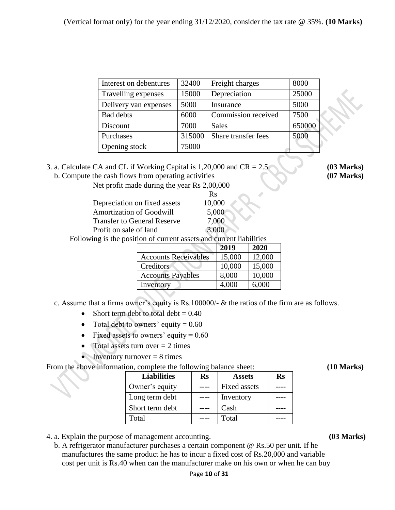| Interest on debentures | 32400  | Freight charges     | 8000   |
|------------------------|--------|---------------------|--------|
| Travelling expenses    | 15000  | Depreciation        | 25000  |
| Delivery van expenses  | 5000   | Insurance           | 5000   |
| <b>Bad debts</b>       | 6000   | Commission received | 7500   |
| Discount               | 7000   | <b>Sales</b>        | 650000 |
| Purchases              | 315000 | Share transfer fees | 5000   |
| Opening stock          | 75000  |                     |        |

#### 3. a. Calculate CA and CL if Working Capital is 1,20,000 and CR = 2.5 **(03 Marks)** b. Compute the cash flows from operating activities **(07 Marks)**

Net profit made during the year Rs 2,00,000

|                                    | <b>Rs</b> |
|------------------------------------|-----------|
| Depreciation on fixed assets       | 10,000    |
| <b>Amortization of Goodwill</b>    | 5,000     |
| <b>Transfer to General Reserve</b> | 7,000     |
| Profit on sale of land             | 3,000     |

Following is the position of current assets and current liabilities

|                             | 2019   | 2020   |
|-----------------------------|--------|--------|
| <b>Accounts Receivables</b> | 15,000 | 12,000 |
| Creditors                   | 10,000 | 15,000 |
| <b>Accounts Payables</b>    | 8,000  | 10,000 |
| Inventory                   | 4,000  | 6,000  |
|                             |        |        |

c. Assume that a firms owner's equity is Rs.100000/- & the ratios of the firm are as follows.

- Short term debt to total debt  $= 0.40$
- Total debt to owners' equity  $= 0.60$
- Fixed assets to owners' equity =  $0.60$
- Total assets turn over  $= 2$  times
- Inventory turnover  $= 8$  times

From the above information, complete the following balance sheet: **(10 Marks)** (10 Marks)

| <b>Liabilities</b> | $\mathbf{Rs}$ | <b>Assets</b>       | Rs |
|--------------------|---------------|---------------------|----|
| Owner's equity     |               | <b>Fixed assets</b> |    |
| Long term debt     |               | Inventory           |    |
| Short term debt    |               | Cash                |    |
| Total              |               | Total               |    |
|                    |               |                     |    |

4. a. Explain the purpose of management accounting. **(03 Marks)**

 b. A refrigerator manufacturer purchases a certain component @ Rs.50 per unit. If he manufactures the same product he has to incur a fixed cost of Rs.20,000 and variable cost per unit is Rs.40 when can the manufacturer make on his own or when he can buy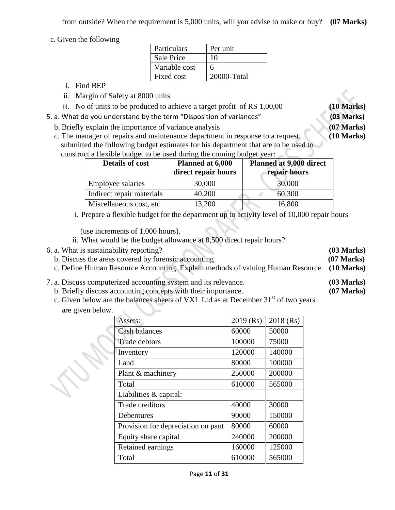c. Given the following

| Particulars       | Per unit    |
|-------------------|-------------|
| <b>Sale Price</b> | 10          |
| Variable cost     | 6           |
| Fixed cost        | 20000-Total |

- i. Find BEP
- ii. Margin of Safety at 8000 units
- iii. No of units to be produced to achieve a target profit of RS 1,00,00 **(10 Marks)**
- 5. a. What do you understand by the term "Disposition of variances" **(03 Marks)**
	- b. Briefly explain the importance of variance analysis **(07 Marks)**
	- c. The manager of repairs and maintenance department in response to a request, **(10 Marks)** submitted the following budget estimates for his department that are to be used to construct a flexible budget to be used during the coming budget year:

| <b>Details of cost</b>    | Planned at 6,000<br>direct repair hours | Planned at 9,000 direct<br>repair hours |
|---------------------------|-----------------------------------------|-----------------------------------------|
| <b>Employee salaries</b>  | 30,000                                  | 30,000                                  |
| Indirect repair materials | 40,200                                  | 60,300                                  |
| Miscellaneous cost, etc   | 13,200                                  | 16,800                                  |

i. Prepare a flexible budget for the department up to activity level of 10,000 repair hours

(use increments of 1,000 hours).

- ii. What would be the budget allowance at 8,500 direct repair hours?
- 6. a. What is sustainability reporting? **(03 Marks)**
	- b. Discuss the areas covered by forensic accounting **(07 Marks)**
	- c. Define Human Resource Accounting. Explain methods of valuing Human Resource. **(10 Marks)**
- 7. a. Discuss computerized accounting system and its relevance. **(03 Marks)**
	- b. Briefly discuss accounting concepts with their importance. **(07 Marks)**
	- c. Given below are the balances sheets of VXL Ltd as at December 31<sup>st</sup> of two years are given below.

| Assets:                            | $2019$ (Rs) | 2018 (Rs) |
|------------------------------------|-------------|-----------|
| Cash balances                      | 60000       | 50000     |
| Trade debtors                      | 100000      | 75000     |
| Inventory                          | 120000      | 140000    |
| Land                               | 80000       | 100000    |
| Plant & machinery                  | 250000      | 200000    |
| Total                              | 610000      | 565000    |
| Liabilities $&$ capital:           |             |           |
| Trade creditors                    | 40000       | 30000     |
| Debentures                         | 90000       | 150000    |
| Provision for depreciation on pant | 80000       | 60000     |
| Equity share capital               | 240000      | 200000    |
| Retained earnings                  | 160000      | 125000    |
| Total                              | 610000      | 565000    |

- 
- 
-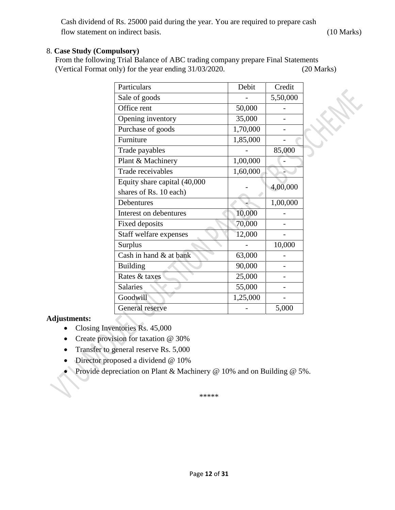Cash dividend of Rs. 25000 paid during the year. You are required to prepare cash flow statement on indirect basis. (10 Marks)

**HARK** 

### 8. **Case Study (Compulsory)**

From the following Trial Balance of ABC trading company prepare Final Statements (Vertical Format only) for the year ending 31/03/2020. (20 Marks)

| Particulars                  | Debit    | Credit   |
|------------------------------|----------|----------|
| Sale of goods                |          | 5,50,000 |
| Office rent                  | 50,000   |          |
| Opening inventory            | 35,000   |          |
| Purchase of goods            | 1,70,000 |          |
| Furniture                    | 1,85,000 |          |
| Trade payables               |          | 85,000   |
| Plant & Machinery            | 1,00,000 |          |
| Trade receivables            | 1,60,000 |          |
| Equity share capital (40,000 |          | 4,00,000 |
| shares of Rs. 10 each)       |          |          |
| Debentures                   |          | 1,00,000 |
| Interest on debentures       | 10,000   |          |
| <b>Fixed deposits</b>        | 70,000   |          |
| Staff welfare expenses       | 12,000   |          |
| Surplus                      |          | 10,000   |
| Cash in hand & at bank       | 63,000   |          |
| <b>Building</b>              | 90,000   |          |
| Rates & taxes                | 25,000   |          |
| <b>Salaries</b>              | 55,000   |          |
| Goodwill                     | 1,25,000 |          |
| General reserve              |          | 5,000    |

#### **Adjustments:**

- Closing Inventories Rs. 45,000
- Create provision for taxation @ 30%
- Transfer to general reserve Rs. 5,000
- Director proposed a dividend @ 10%
- Provide depreciation on Plant & Machinery  $@$  10% and on Building  $@$  5%.

\*\*\*\*\*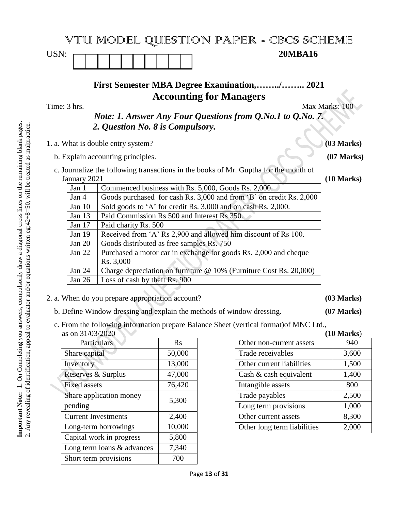|                                                       |                                                                           | VTU MODEL QUESTION PAPER - CBCS SCHEME                                                                                                                                                  |                 |
|-------------------------------------------------------|---------------------------------------------------------------------------|-----------------------------------------------------------------------------------------------------------------------------------------------------------------------------------------|-----------------|
| USN:                                                  |                                                                           | <b>20MBA16</b>                                                                                                                                                                          |                 |
| Time: 3 hrs.                                          |                                                                           | <b>First Semester MBA Degree Examination,/ 2021</b><br><b>Accounting for Managers</b><br>Note: 1. Answer Any Four Questions from Q.No.1 to Q.No. 7.<br>2. Question No. 8 is Compulsory. | Max Marks: 100  |
|                                                       |                                                                           | 1. a. What is double entry system?                                                                                                                                                      | (03 Marks)      |
|                                                       |                                                                           | b. Explain accounting principles.                                                                                                                                                       | $(07$ Marks $)$ |
| January 2021                                          |                                                                           | c. Journalize the following transactions in the books of Mr. Guptha for the month of                                                                                                    | (10 Marks)      |
| Jan 1                                                 |                                                                           | Commenced business with Rs. 5,000, Goods Rs. 2,000.                                                                                                                                     |                 |
| Jan 4                                                 |                                                                           | Goods purchased for cash Rs. 3,000 and from 'B' on credit Rs. 2,000                                                                                                                     |                 |
|                                                       | Sold goods to 'A' for credit Rs. 3,000 and on cash Rs. 2,000.<br>Jan $10$ |                                                                                                                                                                                         |                 |
| Paid Commission Rs 500 and Interest Rs 350.<br>Jan 13 |                                                                           |                                                                                                                                                                                         |                 |
| Jan 17<br>Paid charity Rs. 500                        |                                                                           |                                                                                                                                                                                         |                 |
|                                                       | Received from 'A' Rs 2,900 and allowed him discount of Rs 100.<br>Jan 19  |                                                                                                                                                                                         |                 |
| Jan 20                                                |                                                                           | Goods distributed as free samples Rs. 750                                                                                                                                               |                 |
| Jan 22                                                |                                                                           | Purchased a motor car in exchange for goods Rs. 2,000 and cheque<br>Rs. 3,000                                                                                                           |                 |
| Jan 24                                                |                                                                           | Charge depreciation on furniture @ 10% (Furniture Cost Rs. 20,000)                                                                                                                      |                 |
| Jan 26                                                |                                                                           | Loss of cash by theft Rs. 900                                                                                                                                                           |                 |

- 2. a. When do you prepare appropriation account? **(03 Marks)**
	- b. Define Window dressing and explain the methods of window dressing. **(07 Marks)**
	- c. From the following information prepare Balance Sheet (vertical format)of MNC Ltd., as on 31/03/2020 **(10 Marks**)

| Particulars                | $R_{S}$ |
|----------------------------|---------|
| Share capital              | 50,000  |
| Inventory                  | 13,000  |
| Reserves & Surplus         | 47,000  |
| <b>Fixed assets</b>        | 76,420  |
| Share application money    | 5,300   |
| pending                    |         |
| <b>Current Investments</b> | 2,400   |
| Long-term borrowings       | 10,000  |
| Capital work in progress   | 5,800   |
| Long term loans & advances | 7,340   |
| Short term provisions      | 700     |

|                             | (IU Marks) |
|-----------------------------|------------|
| Other non-current assets    | 940        |
| Trade receivables           | 3,600      |
| Other current liabilities   | 1,500      |
| Cash $\&$ cash equivalent   | 1,400      |
| Intangible assets           | 800        |
| Trade payables              | 2,500      |
| Long term provisions        | 1,000      |
| Other current assets        | 8,300      |
| Other long term liabilities | 2,000      |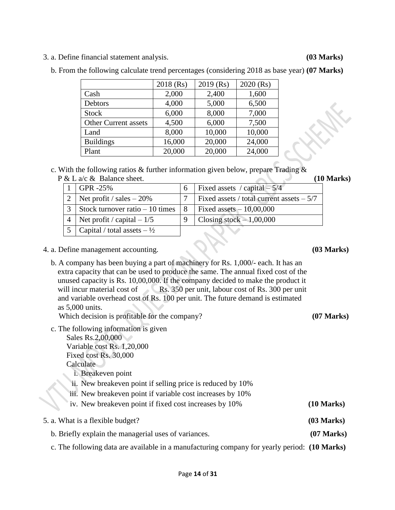3. a. Define financial statement analysis. **(03 Marks)**

|                             | $2018$ (Rs) | $2019$ (Rs) | 2020 (Rs) |
|-----------------------------|-------------|-------------|-----------|
| Cash                        | 2,000       | 2,400       | 1,600     |
| Debtors                     | 4,000       | 5,000       | 6,500     |
| <b>Stock</b>                | 6,000       | 8,000       | 7,000     |
| <b>Other Current assets</b> | 4,500       | 6,000       | 7,500     |
| Land                        | 8,000       | 10,000      | 10,000    |
| <b>Buildings</b>            | 16,000      | 20,000      | 24,000    |
| Plant                       | 20,000      | 20,000      | 24,000    |

b. From the following calculate trend percentages (considering 2018 as base year) **(07 Marks)**

c. With the following ratios & further information given below, prepare Trading & P & L a/c & Balance sheet. **(10 Marks)**

|                | $\alpha$ L $\alpha$ C $\alpha$ Dalance sheet. |     | 1 T                                        |
|----------------|-----------------------------------------------|-----|--------------------------------------------|
|                | $\overline{GPR}$ -25%                         | 6   | Fixed assets / capital $-5/4$              |
|                | 2   Net profit / sales $-20\%$                |     | Fixed assets / total current assets $-5/7$ |
| $\mathfrak{Z}$ | Stock turnover ratio $-10$ times              | - 8 | Fixed assets $-10,00,000$                  |
|                | Net profit / capital $-1/5$                   |     | Closing stock $-1,00,000$                  |
|                | 5   Capital / total assets $-\frac{1}{2}$     |     |                                            |

- 4. a. Define management accounting. **(03 Marks)**
	- b. A company has been buying a part of machinery for Rs. 1,000/- each. It has an extra capacity that can be used to produce the same. The annual fixed cost of the unused capacity is Rs. 10,00,000. If the company decided to make the product it will incur material cost of Rs. 350 per unit, labour cost of Rs. 300 per unit and variable overhead cost of Rs. 100 per unit. The future demand is estimated as 5,000 units.

Which decision is profitable for the company? **(07 Marks)** 

 c. The following information is given Sales Rs.2,00,000 Variable cost Rs. 1,20,000 Fixed cost Rs. 30,000

Calculate

- i. Breakeven point
- ii. New breakeven point if selling price is reduced by 10%
- iii. New breakeven point if variable cost increases by 10%
- iv. New breakeven point if fixed cost increases by 10% **(10 Marks)**
- 5. a. What is a flexible budget? **(03 Marks)** b. Briefly explain the managerial uses of variances. **(07 Marks)**
	- c. The following data are available in a manufacturing company for yearly period: **(10 Marks)**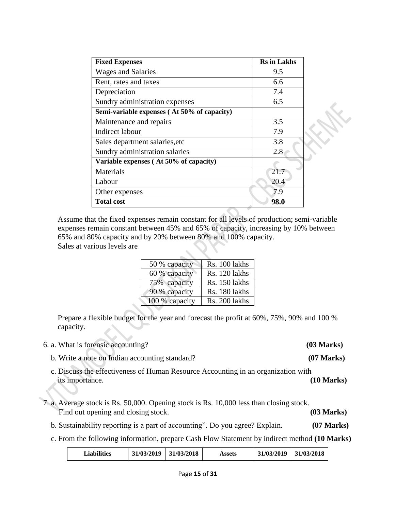| <b>Fixed Expenses</b>                       | <b>Rs</b> in Lakhs |
|---------------------------------------------|--------------------|
| <b>Wages and Salaries</b>                   | 9.5                |
| Rent, rates and taxes                       | 6.6                |
| Depreciation                                | 7.4                |
| Sundry administration expenses              | 6.5                |
| Semi-variable expenses (At 50% of capacity) |                    |
| Maintenance and repairs                     | 3.5                |
| Indirect labour                             | 7.9                |
| Sales department salaries, etc              | 3.8                |
| Sundry administration salaries              | 2.8                |
| Variable expenses (At 50% of capacity)      |                    |
| Materials                                   | 21.7               |
| Labour                                      | 20.4               |
| Other expenses                              | 7.9                |
| <b>Total cost</b>                           | 98.0               |

Assume that the fixed expenses remain constant for all levels of production; semi-variable expenses remain constant between 45% and 65% of capacity, increasing by 10% between 65% and 80% capacity and by 20% between 80% and 100% capacity. Sales at various levels are

| 50 % capacity  | Rs. 100 lakhs |
|----------------|---------------|
| 60 % capacity  | Rs. 120 lakhs |
| 75% capacity   | Rs. 150 lakhs |
| 90 % capacity  | Rs. 180 lakhs |
| 100 % capacity | Rs. 200 lakhs |

Prepare a flexible budget for the year and forecast the profit at 60%, 75%, 90% and 100 % capacity.

|  |  | 6. a. What is forensic accounting? |
|--|--|------------------------------------|
|  |  |                                    |

- b. Write a note on Indian accounting standard? **(07 Marks)**
- c. Discuss the effectiveness of Human Resource Accounting in an organization with its importance. **(10 Marks)**
- 7. a. Average stock is Rs. 50,000. Opening stock is Rs. 10,000 less than closing stock. Find out opening and closing stock. **(03 Marks)** 
	- b. Sustainability reporting is a part of accounting". Do you agree? Explain. **(07 Marks)**
	- c. From the following information, prepare Cash Flow Statement by indirect method **(10 Marks)**

| <b>Liabilities</b> | 31/03/2019 | 31/03/2018 | Assets | 31/03/2019 | 31/03/2018 |
|--------------------|------------|------------|--------|------------|------------|
|                    |            |            |        |            |            |

6. a. What is forensic accounting? **(03 Marks)**

RAX